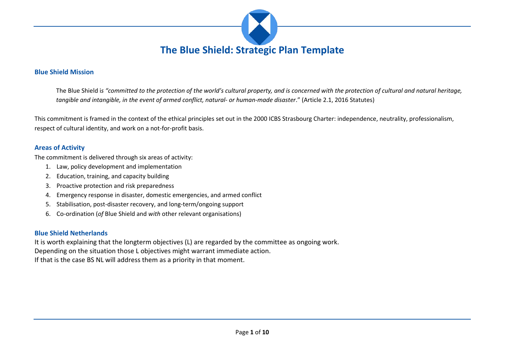

### **Blue Shield Mission**

The Blue Shield i*s "committed to the protection of the world's cultural property, and is concerned with the protection of cultural and natural heritage, tangible and intangible, in the event of armed conflict, natural- or human-made disaster*." (Article 2.1, 2016 Statutes)

This commitment is framed in the context of the ethical principles set out in the 2000 ICBS Strasbourg Charter: independence, neutrality, professionalism, respect of cultural identity, and work on a not-for-profit basis.

### **Areas of Activity**

The commitment is delivered through six areas of activity:

- 1. Law, policy development and implementation
- 2. Education, training, and capacity building
- 3. Proactive protection and risk preparedness
- 4. Emergency response in disaster, domestic emergencies, and armed conflict
- 5. Stabilisation, post-disaster recovery, and long-term/ongoing support
- 6. Co-ordination (*of* Blue Shield and *with* other relevant organisations)

### **Blue Shield Netherlands**

It is worth explaining that the longterm objectives (L) are regarded by the committee as ongoing work. Depending on the situation those L objectives might warrant immediate action. If that is the case BS NL will address them as a priority in that moment.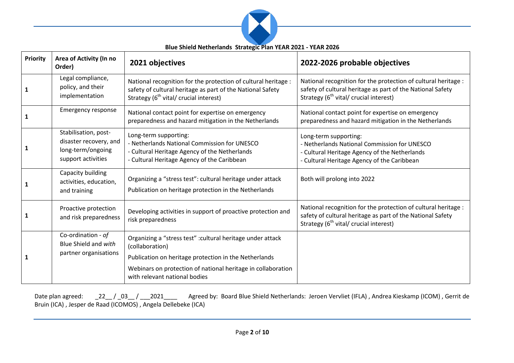

**Blue Shield Netherlands Strategic Plan YEAR 2021 - YEAR 2026**

| <b>Priority</b> | Area of Activity (In no<br>Order)                                                         | 2021 objectives                                                                                                                                                                    | 2022-2026 probable objectives                                                                                                                                                      |
|-----------------|-------------------------------------------------------------------------------------------|------------------------------------------------------------------------------------------------------------------------------------------------------------------------------------|------------------------------------------------------------------------------------------------------------------------------------------------------------------------------------|
| 1               | Legal compliance,<br>policy, and their<br>implementation                                  | National recognition for the protection of cultural heritage :<br>safety of cultural heritage as part of the National Safety<br>Strategy (6 <sup>th</sup> vital/ crucial interest) | National recognition for the protection of cultural heritage :<br>safety of cultural heritage as part of the National Safety<br>Strategy (6 <sup>th</sup> vital/ crucial interest) |
| 1               | <b>Emergency response</b>                                                                 | National contact point for expertise on emergency<br>preparedness and hazard mitigation in the Netherlands                                                                         | National contact point for expertise on emergency<br>preparedness and hazard mitigation in the Netherlands                                                                         |
| 1               | Stabilisation, post-<br>disaster recovery, and<br>long-term/ongoing<br>support activities | Long-term supporting:<br>- Netherlands National Commission for UNESCO<br>- Cultural Heritage Agency of the Netherlands<br>- Cultural Heritage Agency of the Caribbean              | Long-term supporting:<br>- Netherlands National Commission for UNESCO<br>- Cultural Heritage Agency of the Netherlands<br>- Cultural Heritage Agency of the Caribbean              |
|                 | Capacity building<br>activities, education,<br>and training                               | Organizing a "stress test": cultural heritage under attack<br>Publication on heritage protection in the Netherlands                                                                | Both will prolong into 2022                                                                                                                                                        |
|                 | Proactive protection<br>and risk preparedness                                             | Developing activities in support of proactive protection and<br>risk preparedness                                                                                                  | National recognition for the protection of cultural heritage :<br>safety of cultural heritage as part of the National Safety<br>Strategy (6 <sup>th</sup> vital/ crucial interest) |
| 1               | Co-ordination - of<br>Blue Shield and with<br>partner organisations                       | Organizing a "stress test" : cultural heritage under attack<br>(collaboration)                                                                                                     |                                                                                                                                                                                    |
|                 |                                                                                           | Publication on heritage protection in the Netherlands                                                                                                                              |                                                                                                                                                                                    |
|                 |                                                                                           | Webinars on protection of national heritage in collaboration<br>with relevant national bodies                                                                                      |                                                                                                                                                                                    |

Date plan agreed: \_\_22\_\_ / \_03\_\_ / \_\_2021\_\_\_\_ Agreed by: Board Blue Shield Netherlands: Jeroen Vervliet (IFLA) , Andrea Kieskamp (ICOM) , Gerrit de Bruin (ICA) , Jesper de Raad (ICOMOS) , Angela Dellebeke (ICA)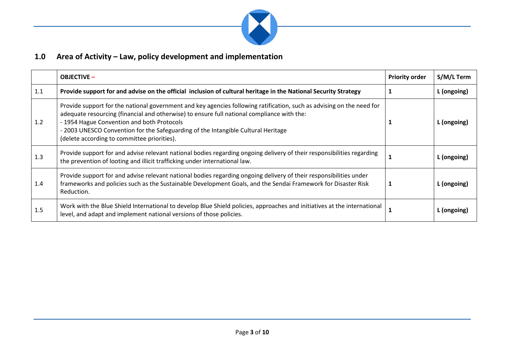

### **1.0 Area of Activity – Law, policy development and implementation**

|     | <b>OBJECTIVE -</b>                                                                                                                                                                                                                                                                                                                                                                                    | <b>Priority order</b> | S/M/L Term  |
|-----|-------------------------------------------------------------------------------------------------------------------------------------------------------------------------------------------------------------------------------------------------------------------------------------------------------------------------------------------------------------------------------------------------------|-----------------------|-------------|
| 1.1 | Provide support for and advise on the official inclusion of cultural heritage in the National Security Strategy                                                                                                                                                                                                                                                                                       |                       | L (ongoing) |
| 1.2 | Provide support for the national government and key agencies following ratification, such as advising on the need for<br>adequate resourcing (financial and otherwise) to ensure full national compliance with the:<br>- 1954 Hague Convention and both Protocols<br>- 2003 UNESCO Convention for the Safeguarding of the Intangible Cultural Heritage<br>(delete according to committee priorities). |                       | L (ongoing) |
| 1.3 | Provide support for and advise relevant national bodies regarding ongoing delivery of their responsibilities regarding<br>the prevention of looting and illicit trafficking under international law.                                                                                                                                                                                                  |                       | L (ongoing) |
| 1.4 | Provide support for and advise relevant national bodies regarding ongoing delivery of their responsibilities under<br>frameworks and policies such as the Sustainable Development Goals, and the Sendai Framework for Disaster Risk<br>Reduction.                                                                                                                                                     |                       | L (ongoing) |
| 1.5 | Work with the Blue Shield International to develop Blue Shield policies, approaches and initiatives at the international<br>level, and adapt and implement national versions of those policies.                                                                                                                                                                                                       |                       | L (ongoing) |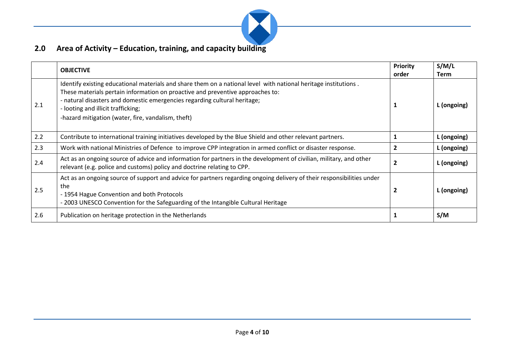

# **2.0 Area of Activity – Education, training, and capacity building**

|     | <b>OBJECTIVE</b>                                                                                                                                                                                                                                                                                                                                                           | <b>Priority</b><br>order | S/M/L<br>Term |
|-----|----------------------------------------------------------------------------------------------------------------------------------------------------------------------------------------------------------------------------------------------------------------------------------------------------------------------------------------------------------------------------|--------------------------|---------------|
| 2.1 | Identify existing educational materials and share them on a national level with national heritage institutions.<br>These materials pertain information on proactive and preventive approaches to:<br>- natural disasters and domestic emergencies regarding cultural heritage;<br>- looting and illicit trafficking;<br>-hazard mitigation (water, fire, vandalism, theft) |                          | L (ongoing)   |
| 2.2 | Contribute to international training initiatives developed by the Blue Shield and other relevant partners.                                                                                                                                                                                                                                                                 |                          | L (ongoing)   |
| 2.3 | Work with national Ministries of Defence to improve CPP integration in armed conflict or disaster response.                                                                                                                                                                                                                                                                |                          | L (ongoing)   |
| 2.4 | Act as an ongoing source of advice and information for partners in the development of civilian, military, and other<br>relevant (e.g. police and customs) policy and doctrine relating to CPP.                                                                                                                                                                             |                          | L (ongoing)   |
| 2.5 | Act as an ongoing source of support and advice for partners regarding ongoing delivery of their responsibilities under<br>the<br>- 1954 Hague Convention and both Protocols<br>- 2003 UNESCO Convention for the Safeguarding of the Intangible Cultural Heritage                                                                                                           |                          | L (ongoing)   |
| 2.6 | Publication on heritage protection in the Netherlands                                                                                                                                                                                                                                                                                                                      |                          | S/M           |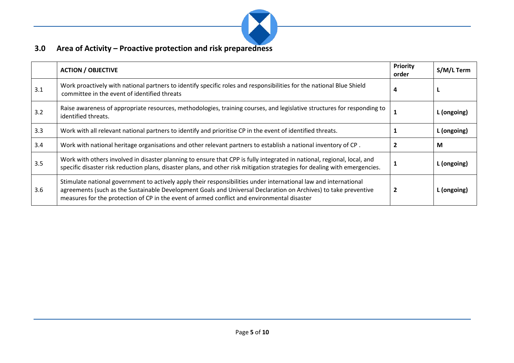

## **3.0 Area of Activity – Proactive protection and risk preparedness**

|     | <b>ACTION / OBJECTIVE</b>                                                                                                                                                                                                                                                                                                          | <b>Priority</b><br>order | S/M/L Term  |
|-----|------------------------------------------------------------------------------------------------------------------------------------------------------------------------------------------------------------------------------------------------------------------------------------------------------------------------------------|--------------------------|-------------|
| 3.1 | Work proactively with national partners to identify specific roles and responsibilities for the national Blue Shield<br>committee in the event of identified threats                                                                                                                                                               | 4                        |             |
| 3.2 | Raise awareness of appropriate resources, methodologies, training courses, and legislative structures for responding to<br>identified threats.                                                                                                                                                                                     |                          | L (ongoing) |
| 3.3 | Work with all relevant national partners to identify and prioritise CP in the event of identified threats.                                                                                                                                                                                                                         |                          | L (ongoing) |
| 3.4 | Work with national heritage organisations and other relevant partners to establish a national inventory of CP.                                                                                                                                                                                                                     |                          | M           |
| 3.5 | Work with others involved in disaster planning to ensure that CPP is fully integrated in national, regional, local, and<br>specific disaster risk reduction plans, disaster plans, and other risk mitigation strategies for dealing with emergencies.                                                                              |                          | L (ongoing) |
| 3.6 | Stimulate national government to actively apply their responsibilities under international law and international<br>agreements (such as the Sustainable Development Goals and Universal Declaration on Archives) to take preventive<br>measures for the protection of CP in the event of armed conflict and environmental disaster |                          | L (ongoing) |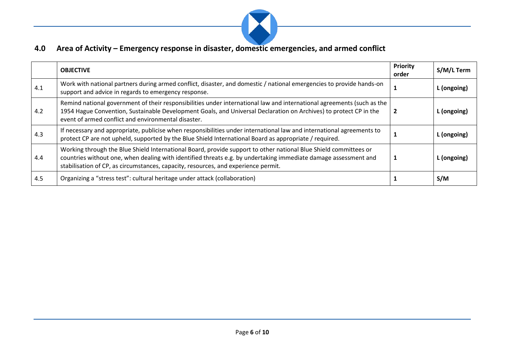

## **4.0 Area of Activity – Emergency response in disaster, domestic emergencies, and armed conflict**

|     | <b>OBJECTIVE</b>                                                                                                                                                                                                                                                                                                          | <b>Priority</b><br>order | S/M/L Term  |
|-----|---------------------------------------------------------------------------------------------------------------------------------------------------------------------------------------------------------------------------------------------------------------------------------------------------------------------------|--------------------------|-------------|
| 4.1 | Work with national partners during armed conflict, disaster, and domestic / national emergencies to provide hands-on<br>support and advice in regards to emergency response.                                                                                                                                              |                          | L (ongoing) |
| 4.2 | Remind national government of their responsibilities under international law and international agreements (such as the<br>1954 Hague Convention, Sustainable Development Goals, and Universal Declaration on Archives) to protect CP in the<br>event of armed conflict and environmental disaster.                        |                          | . (ongoing) |
| 4.3 | If necessary and appropriate, publicise when responsibilities under international law and international agreements to<br>protect CP are not upheld, supported by the Blue Shield International Board as appropriate / required.                                                                                           |                          | L (ongoing) |
| 4.4 | Working through the Blue Shield International Board, provide support to other national Blue Shield committees or<br>countries without one, when dealing with identified threats e.g. by undertaking immediate damage assessment and<br>stabilisation of CP, as circumstances, capacity, resources, and experience permit. |                          | . (ongoing) |
| 4.5 | Organizing a "stress test": cultural heritage under attack (collaboration)                                                                                                                                                                                                                                                |                          | S/M         |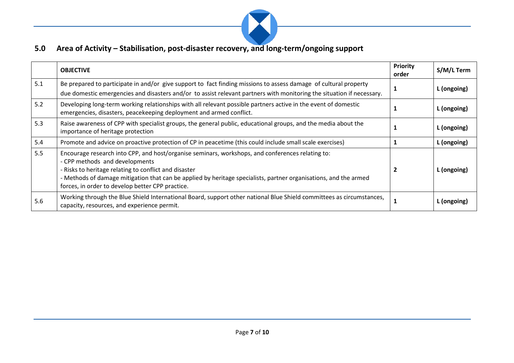

## **5.0 Area of Activity – Stabilisation, post-disaster recovery, and long-term/ongoing support**

|     | <b>OBJECTIVE</b>                                                                                                                                                                                                                                                                                                                                                    | <b>Priority</b><br>order | S/M/L Term  |
|-----|---------------------------------------------------------------------------------------------------------------------------------------------------------------------------------------------------------------------------------------------------------------------------------------------------------------------------------------------------------------------|--------------------------|-------------|
| 5.1 | Be prepared to participate in and/or give support to fact finding missions to assess damage of cultural property<br>due domestic emergencies and disasters and/or to assist relevant partners with monitoring the situation if necessary.                                                                                                                           |                          | L (ongoing) |
| 5.2 | Developing long-term working relationships with all relevant possible partners active in the event of domestic<br>emergencies, disasters, peacekeeping deployment and armed conflict.                                                                                                                                                                               |                          | L (ongoing) |
| 5.3 | Raise awareness of CPP with specialist groups, the general public, educational groups, and the media about the<br>importance of heritage protection                                                                                                                                                                                                                 |                          | L (ongoing) |
| 5.4 | Promote and advice on proactive protection of CP in peacetime (this could include small scale exercises)                                                                                                                                                                                                                                                            |                          | L (ongoing) |
| 5.5 | Encourage research into CPP, and host/organise seminars, workshops, and conferences relating to:<br>- CPP methods and developments<br>- Risks to heritage relating to conflict and disaster<br>- Methods of damage mitigation that can be applied by heritage specialists, partner organisations, and the armed<br>forces, in order to develop better CPP practice. |                          | L (ongoing) |
| 5.6 | Working through the Blue Shield International Board, support other national Blue Shield committees as circumstances,<br>capacity, resources, and experience permit.                                                                                                                                                                                                 |                          | (ongoing)   |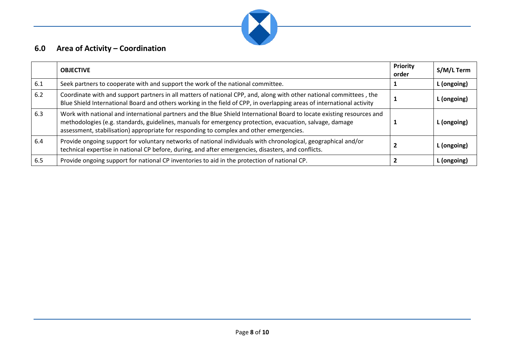

## **6.0 Area of Activity – Coordination**

|     | <b>OBJECTIVE</b>                                                                                                                                                                                                                                                                                                              | Priority<br>order | S/M/L Term  |
|-----|-------------------------------------------------------------------------------------------------------------------------------------------------------------------------------------------------------------------------------------------------------------------------------------------------------------------------------|-------------------|-------------|
| 6.1 | Seek partners to cooperate with and support the work of the national committee.                                                                                                                                                                                                                                               |                   | L (ongoing) |
| 6.2 | Coordinate with and support partners in all matters of national CPP, and, along with other national committees, the<br>Blue Shield International Board and others working in the field of CPP, in overlapping areas of international activity                                                                                 |                   | . (ongoing) |
| 6.3 | Work with national and international partners and the Blue Shield International Board to locate existing resources and<br>methodologies (e.g. standards, guidelines, manuals for emergency protection, evacuation, salvage, damage<br>assessment, stabilisation) appropriate for responding to complex and other emergencies. |                   | L (ongoing) |
| 6.4 | Provide ongoing support for voluntary networks of national individuals with chronological, geographical and/or<br>technical expertise in national CP before, during, and after emergencies, disasters, and conflicts.                                                                                                         |                   | L (ongoing) |
| 6.5 | Provide ongoing support for national CP inventories to aid in the protection of national CP.                                                                                                                                                                                                                                  |                   | L (ongoing) |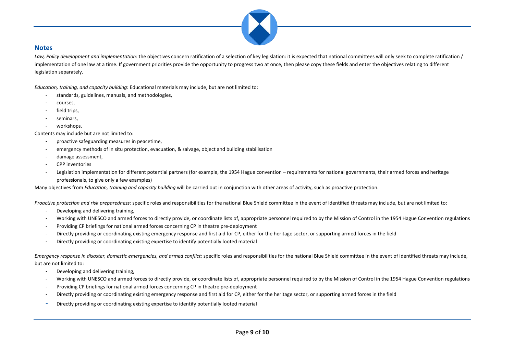

#### **Notes**

Law, Policy development and implementation: the objectives concern ratification of a selection of key legislation: it is expected that national committees will only seek to complete ratification / implementation of one law at a time. If government priorities provide the opportunity to progress two at once, then please copy these fields and enter the objectives relating to different legislation separately.

*Education, training, and capacity building*: Educational materials may include, but are not limited to:

- standards, guidelines, manuals, and methodologies,
- courses,
- field trips,
- seminars,
- workshops.

Contents may include but are not limited to:

- proactive safeguarding measures in peacetime,
- emergency methods of in situ protection, evacuation, & salvage, object and building stabilisation
- damage assessment,
- CPP inventories
- Legislation implementation for different potential partners (for example, the 1954 Hague convention requirements for national governments, their armed forces and heritage professionals, to give only a few examples)

Many objectives from *Education, training and capacity building* will be carried out in conjunction with other areas of activity, such as proactive protection.

*Proactive protection and risk preparedness:* specific roles and responsibilities for the national Blue Shield committee in the event of identified threats may include, but are not limited to:

- Developing and delivering training,
- Working with UNESCO and armed forces to directly provide, or coordinate lists of, appropriate personnel required to by the Mission of Control in the 1954 Hague Convention regulations
- Providing CP briefings for national armed forces concerning CP in theatre pre-deployment
- Directly providing or coordinating existing emergency response and first aid for CP, either for the heritage sector, or supporting armed forces in the field
- Directly providing or coordinating existing expertise to identify potentially looted material

*Emergency response in disaster, domestic emergencies, and armed conflict:* specific roles and responsibilities for the national Blue Shield committee in the event of identified threats may include, but are not limited to:

- Developing and delivering training,
- Working with UNESCO and armed forces to directly provide, or coordinate lists of, appropriate personnel required to by the Mission of Control in the 1954 Hague Convention regulations
- Providing CP briefings for national armed forces concerning CP in theatre pre-deployment
- Directly providing or coordinating existing emergency response and first aid for CP, either for the heritage sector, or supporting armed forces in the field
- Directly providing or coordinating existing expertise to identify potentially looted material